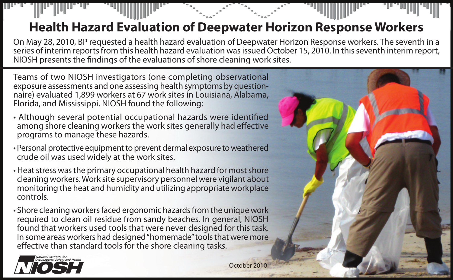## **Health Hazard Evaluation of Deepwater Horizon Response Workers**

On May 28, 2010, BP requested a health hazard evaluation of Deepwater Horizon Response workers. The seventh in a series of interim reports from this health hazard evaluation was issued October 15, 2010. In this seventh interim report, NIOSH presents the findings of the evaluations of shore cleaning work sites.

Teams of two NIOSH investigators (one completing observational exposure assessments and one assessing health symptoms by questionnaire) evaluated 1,899 workers at 67 work sites in Louisiana, Alabama, Florida, and Mississippi. NIOSH found the following:

- Although several potential occupational hazards were identified among shore cleaning workers the work sites generally had effective programs to manage these hazards.
- Personal protective equipment to prevent dermal exposure to weathered crude oil was used widely at the work sites.
- Heat stress was the primary occupational health hazard for most shore cleaning workers. Work site supervisory personnel were vigilant about monitoring the heat and humidity and utilizing appropriate workplace controls.
- Shore cleaning workers faced ergonomic hazards from the unique work required to clean oil residue from sandy beaches. In general, NIOSH found that workers used tools that were never designed for this task. In some areas workers had designed "homemade" tools that were more effective than standard tools for the shore cleaning tasks.